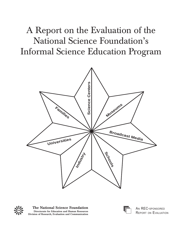A Report on the Evaluation of the National Science Foundation's Informal Science Education Program







AN REC-SPONSORED REPORT ON EVALUATION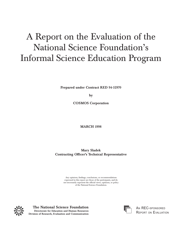# A Report on the Evaluation of the National Science Foundation's Informal Science Education Program

**Prepared under Contract RED 94-52970**

**by**

**COSMOS Corporation**

**MARCH 1998**

**Mary Sladek Contracting Officer's Technical Representative**

> Any opinions, findings, conclusions, or recommendations expressed in this report are those of the participants, and do not necessarily represent the official views, opinions, or policy of the National Science Foundation.



**The National Science Foundation Directorate for Education and Human Resources Division of Research, Evaluation and Communication**



AN REC-SPONSORED REPORT ON EVALUATION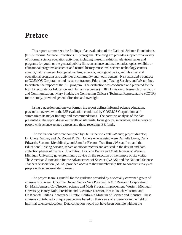# **Preface**

This report summarizes the findings of an evaluation of the National Science Foundation's (NSF) Informal Science Education (ISE) program. The program provides support for a variety of informal science education activities, including museum exhibits; television series and programs for youth or the general public; films on science and mathematics topics; exhibits or educational programs at science and natural history museums, science-technology centers, aquaria, nature centers, biological gardens, arboreta, zoological parks, and libraries; and educational programs and activities at community and youth centers. NSF awarded a contract to COSMOS Corporation and its subcontractors, Educational Testing Service, and Westat, Inc., to evaluate the impact of the ISE program. The evaluation was conducted and prepared for the NSF Directorate for Education and Human Resources (EHR), Division of Research, Evaluation and Communication. Mary Sladek, the Contracting Officer's Technical Representative (COTR) for the study, provided general direction and oversight.

Using a question-and-answer format, the report defines informal science education, presents an overview of the ISE evaluation conducted by COSMOS Corporation, and summarizes its major findings and recommendations. The narrative analysis of the data presented in the report draws on results of site visits, focus groups, interviews, and surveys of people with science-related careers and those receiving ISE funds.

The evaluation data were compiled by Dr. Katherine Zantal-Wiener, project director; Dr. Cheryl Sattler; and Dr. Robert K. Yin. Others who assisted were Darnella Davis, Dana Edwards, Suzanne Merchlinsky, and Jennifer Elcano. Two firms, Westat, Inc., and the Educational Testing Service, served as subcontractors and assisted in the design and data collection phases of the task. In addition, Drs. Zoe Barley and Mark Jenness of Western Michigan University gave preliminary advice on the selection of the sample of site visits. The American Association for the Advancement of Science (AAAS) and the National Science Teachers Association (NSTA) provided access to their membership lists to conduct surveys of people with science-related careers.

The project team is grateful for the guidance provided by a specially convened group of advisors who were: Christine Dwyer, Senior Vice President, RMC Research Corporation; Dr. Mark Jenness, Co-Director, Science and Math Program Improvement, Western Michigan University; Nancy Kolb, President and Executive Director, Please Touch Museum; and Dr. Kenneth Phillips, Aerospace Curator, California Museum of Science and Industry. These advisors contributed a unique perspective based on their years of experience in the field of informal science education. Data collection would not have been possible without the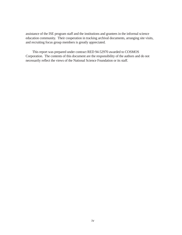assistance of the ISE program staff and the institutions and grantees in the informal science education community. Their cooperation in tracking archival documents, arranging site visits, and recruiting focus group members is greatly appreciated.

This report was prepared under contract RED 94-52970 awarded to COSMOS Corporation. The contents of this document are the responsibility of the authors and do not necessarily reflect the views of the National Science Foundation or its staff.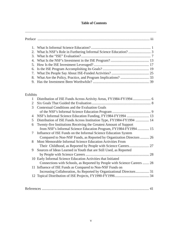# **Table of Contents**

# Exhibits

| 1             |                                                                          |
|---------------|--------------------------------------------------------------------------|
| 2             |                                                                          |
| $\mathcal{F}$ | Contextual Conditions and the Evaluation Goals                           |
|               |                                                                          |
| 4             | NSF's Informal Science Education Funding, FY1984-FY1994  13              |
| 5             | Distribution of ISE Funds Across Institution Type, FY1984-FY1994  14     |
| 6             | Twenty-five Institutions Receiving the Greatest Amount of Support        |
|               | from NSF's Informal Science Education Program, FY1984-FY1994 15          |
| 7             | Influence of ISE Funds on the Informal Science Education System          |
|               | Compared to Non-NSF Funds, as Reported by Organization Directors  26     |
| 8             | Most Memorable Informal Science Education Activities From                |
|               |                                                                          |
| 9             | Sources of Ideas Learned in Youth that are Still Used, as Reported       |
|               |                                                                          |
|               | 10 Early Informal Science Education Activities that Initiated            |
|               | Connections with Schools, as Reported by People with Science Careers  28 |
|               | 11 Influence of ISE Funds as Compared to Non-NSF Funds on                |
|               | Increasing Collaboration, As Reported by Organizational Directors 31     |
|               |                                                                          |
|               |                                                                          |
|               |                                                                          |

References ........................................................................................................................ 41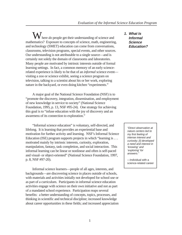W here *do* people get their understanding of science and mathematics? Exposure to concepts of science, math, engineering, and technology (SMET) education can come from conversations, classrooms, television programs, special events, and other sources. Our understanding is not attributable to a single source—and is certainly not solely the domain of classrooms and laboratories. Many people are motivated by intrinsic interests outside of formal learning settings. In fact, a common memory of an early sciencerelated experience is likely to be that of an *informal* science event visiting a zoo or science exhibit, seeing a science program on television, talking to a scientist about his or her work, exploring nature in the backyard, or even doing kitchen "experiments."

A major goal of the National Science Foundation (NSF) is to "promote the discovery, integration, dissemination, and employment of new knowledge in service to society" (National Science Foundation, 1995, p. 13, NSF #95-24). One strategy for achieving this goal is to "infuse education with the joy of discovery and an awareness of its connection to exploration."

"Informal science education" is voluntary, self-directed, and lifelong. It is learning that provides an experiential base and motivation for further activity and learning. NSF's Informal Science Education (ISE) program supports projects in which "learning is . . . motivated mainly by intrinsic interests, curiosity, exploration, manipulation, fantasy, task completion, and social interaction. This informal learning can be linear or nonlinear and often is self-paced and visual- or object-oriented" (National Science Foundation, 1997, p. 8, NSF #97-20).

Informal science learners—people of all ages, interests, and backgrounds—are discovering science in places outside of schools, with materials and activities initially not developed for school use or as part of a curriculum. Participants in informal science education activities engage with science on their own initiative and not as part of a mandated school experience. Participation reaps several benefits: a better understanding of concepts, topics, processes, and thinking in scientific and technical discipline; increased knowledge about career opportunities in these fields; and increased appreciation **1. What Is Informal Science Education?**

> "Direct observation at nature centers led to my first feeling of intense interest and curiosity; [I] developed a need and interest in 'knowing' and 'exploring' for answers."

—Individual with a science-related career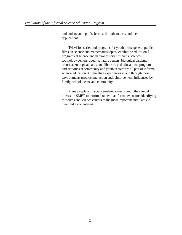and understanding of science and mathematics, and their applications.

Television series and programs for youth or the general public; films on science and mathematics topics; exhibits or educational programs at science and natural history museums, sciencetechnology centers, aquaria, nature centers, biological gardens, arboreta, zoological parks, and libraries; and educational programs and activities at community and youth centers are all part of informal science education. Cumulative experiences in and through these environments provide interaction and reinforcement, influenced by family, school, peers, and community.

Many people with science-related careers credit their initial interest in SMET to informal rather than formal exposure, identifying museums and science centers as the most important stimulants to their childhood interest.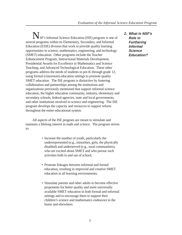NSF's Informal Science Education (ISE) program is one of several programs within its Elementary, Secondary, and Informal Education (ESIE) division that work to provide quality learning opportunities in science, mathematics, engineering, and technology (SMET) education. Other programs include the Teacher Enhancement Program, Instructional Materials Development, Presidential Awards for Excellence in Mathematics and Science Teaching, and Advanced Technological Education. These other programs address the needs of students in pre-K through grade 12, using formal (classroom) education settings to promote quality SMET education. The ISE program is distinctive by fostering collaboration and partnerships among the institutions and organizations previously mentioned that support informal science education, the higher education community, industry, elementary and secondary schools, federal agencies, state and local governments, and other institutions involved in science and engineering. The ISE program develops the capacity and resources to support reform throughout the entire educational system.

All aspects of the ISE program are meant to stimulate and maintain a lifelong interest in math and science. The program strives to:

- Increase the number of youth, particularly the underrepresented (e.g., minorities, girls, the physically disabled) and underserved (e.g., rural communities), who are excited about SMET and who pursue such activities both in and out of school;
- Promote linkages between informal and formal education, resulting in improved and creative SMET education in all learning environments;
- Stimulate parents and other adults to become effective proponents for better quality and more universally available SMET education in both formal and informal settings and to encourage them to support their children's science and mathematics endeavors in the home and elsewhere;

**2. What Is NSF's Role in Furthering Informal Science Education?**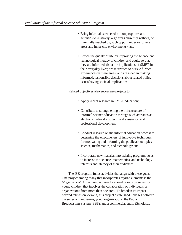- Bring informal science education programs and activities to relatively large areas currently without, or minimally reached by, such opportunities (e.g., rural areas and inner-city environments); and
- Enrich the quality of life by improving the science and technological literacy of children and adults so that they are informed about the implications of SMET in their everyday lives; are motivated to pursue further experiences in these areas; and are aided in making informed, responsible decisions about related policy issues having societal implications.

Related objectives also encourage projects to:

- Apply recent research in SMET education;
- Contribute to strengthening the infrastructure of informal science education through such activities as electronic networking, technical assistance, and professional development;
- Conduct research on the informal education process to determine the effectiveness of innovative techniques for motivating and informing the public about topics in science, mathematics, and technology; and
- Incorporate new material into existing programs so as to increase the science, mathematics, and technology interests and literacy of their audiences.

The ISE program funds activities that align with these goals. One project among many that incorporates myriad elements is the *Magic School Bus*, an innovative educational television series for young children that involves the collaboration of individuals or organizations from more than one area. To broaden its impact beyond television viewers, this project established linkages between the series and museums, youth organizations, the Public Broadcasting System (PBS), and a commercial entity (Scholastic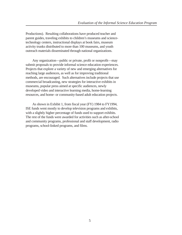Productions). Resulting collaborations have produced teacher and parent guides, traveling exhibits to children's museums and sciencetechnology centers, instructional displays at book fairs, museum activity trunks distributed to more than 100 museums, and youth outreach materials disseminated through national organizations.

Any organization—public or private, profit or nonprofit—may submit proposals to provide informal science education experiences. Projects that explore a variety of new and emerging alternatives for reaching large audiences, as well as for improving traditional methods, are encouraged. Such alternatives include projects that use commercial broadcasting, new strategies for interactive exhibits in museums, popular press aimed at specific audiences, newly developed video and interactive learning media, home-learning resources, and home- or community-based adult education projects.

As shown in Exhibit 1, from fiscal year (FY) 1984 to FY1994, ISE funds went mostly to develop television programs and exhibits, with a slightly higher percentage of funds used to support exhibits. The rest of the funds were awarded for activities such as after-school and community programs, professional and staff development, radio programs, school-linked programs, and films.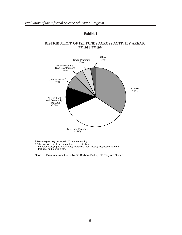#### **Exhibit 1**

# **DISTRIBUTION1 OF ISE FUNDS ACROSS ACTIVITY AREAS, FY1984-FY1994**



1 Percentages may not equal 100 due to rounding.

 2 Other activities include: computer-based activities; conferences/symposia/seminars; interactive multi-media; kits; networks; other lectures; and media pilots.

Source: Database maintained by Dr. Barbara Butler, ISE Program Officer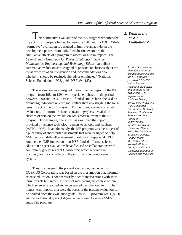This summative evaluation of the ISE program describes the impact of ISE projects funded between FY1984 and FY1994. While "formative" evaluation is designed to improve an activity in the development phase, "summative" evaluation examines the cumulative effects of a program to assess long-term impact. The *User-Friendly Handbook for Project Evaluation: Science, Mathematics, Engineering, and Technology Education* defines summative evaluation as "designed to present conclusions about the merit or worth of an intervention and recommendations about whether it should be retained, altered, or eliminated" (National Science Foundation, 1993, p. 96, NSF #94-183).

The evaluation was designed to examine the impact of the ISE program from 1984 to 1994, with special emphasis on the period between 1990 and 1994. Past NSF-funded studies have focused on evaluating individual *project* goals rather than investigating the longterm impact of the ISE *program*. Furthermore, a review of existing evaluations of informal science education *projects* revealed an absence of data on the evaluation goals most relevant to the ISE *program*. For example, one study has examined the support provided by science-technology centers to schools and teachers (ASTC, 1996). In another study, the ISE program was the subject of a pilot study of short-term assessments that were designed to help NSF deal with difficult assessment questions (Knapp, et al., 1988). And neither NSF-funded nor non-NSF-funded informal science education project evaluations have focused on collaborations with community groups (except *Ghostwriter*, which received an ISE planning grant) or on affecting the informal science education system.

Thus, the design of the present evaluation, conducted by COSMOS Corporation, was based on the presumption that informal science education is not necessarily a set of interventions with shortterm impacts but, rather, a means of influencing the context within which science is learned and experienced over the long term. The longer-term impacts that were the focus of the present evaluation can be derived from the evaluation goals—four ISE program goals (A-D) and two additional goals (E-F)—that were used to assess NSF's entire ISE program.

# **3. What Is the "ISE" Evaluation?**

Experts, knowledge– able about informal science education and the ISE program, provided COSMOS with guidance regarding the design and conduct of the evaluation. The experts were: Christine Dwyer, Senior Vice President, RMC Research Corporation; Dr. Mark Jenness, Co-Director, Science and Math Program Improvement, Western Michigan University; Nancy Kolb, President and Executive Director, Please Touch Museum; and Dr. Kenneth Phillips, Aerospace Curator, California Museum of Science and Industry.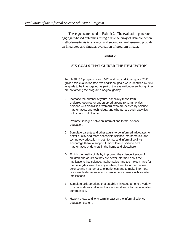These goals are listed in Exhibit 2. The evaluation generated aggregate-based outcomes, using a diverse array of data collection methods—site visits, surveys, and secondary analyses—to provide an integrated and singular evaluation of program impact.

# **Exhibit 2**

# **SIX GOALS THAT GUIDED THE EVALUATION**

Four NSF ISE program goals (A-D) and two additional goals (E-F) guided this evaluation (the two additional goals were identified by NSF as goals to be investigated as part of the evaluation, even though they are not among the program's original goals): A. Increase the number of youth, especially those from underrepresented or underserved groups (e.g., minorities, persons with disabilities, women), who are excited by science, mathematics, and technology, and who pursue such activities both in and out of school. B. Promote linkages between informal and formal science education. C. Stimulate parents and other adults to be informed advocates for better quality and more accessible science, mathematics, and technology education in both formal and informal settings; encourage them to support their children's science and mathematics endeavors in the home and elsewhere. D. Enrich the quality of life by improving the science literacy of children and adults so they are better informed about the implications that science, mathematics, and technology have for their everyday lives, thereby enabling them to further pursue science and mathematics experiences and to make informed, responsible decisions about science policy issues with societal implications. E. Stimulate collaborations that establish linkages among a variety of organizations and individuals in formal and informal education communities. F. Have a broad and long-term impact on the informal science education system.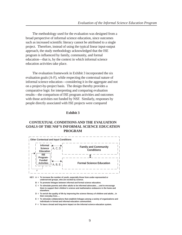The methodology used for the evaluation was designed from a broad perspective of informal science education, since outcomes such as increased scientific literacy cannot be attributed to a single project. Therefore, instead of using the typical linear input-output approach, the study methodology acknowledged that the ISE program is influenced by family, community, and formal education—that is, by the context in which informal science education activities take place.

The evaluation framework in Exhibit 3 incorporated the six evaluation goals (A-F), while respecting the contextual nature of informal science education—considering it in the aggregate and not on a project-by-project basis. The design thereby provides a comparative logic for interpreting and comparing evaluation results—the comparison of ISE program activities and outcomes with those activities not funded by NSF. Similarly, responses by people directly associated with ISE projects were compared

#### **Exhibit 3**

#### **CONTEXTUAL CONDITIONS AND THE EVALUATION GOALS OF THE NSF'S INFORMAL SCIENCE EDUCATION PROGRAM**



- **A = To increase the number of youth, especially those from under-represented or KEY: underserved groups, who are excited by science.**
	- **B = To promote linkages between informal and formal science education.**
	- **C = To stimulate parents and other adults to be informed advocates…; and to encourage them to support their children's science and mathematics endeavors in the home and elsewhere.**
	- **D = To enrich the quality of life by improving the science literacy of children and adults…in their everyday lives….**
	- **E = To stimulate collaborations that establish linkages among a variety of organizations and individuals in formal and informal education communities.**
	- **F = To have a broad and long-term impact on the informal science education system.**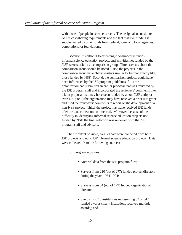with those of people in science careers. The design also considered NSF's cost-sharing requirements and the fact that ISE funding is supplemented by other funds from federal, state, and local agencies, corporations, or foundations.

Because it is difficult to disentangle co-funded activities, informal science education projects and activities not funded by the NSF were studied as a comparison group. Three caveats about the comparison group should be noted. First, the projects in the comparison group have characteristics similar to, but not exactly like, those funded by NSF. Second, the comparison projects could have been influenced by the ISE program guidelines if: 1) the organization had submitted an earlier proposal that was reviewed by the ISE program staff and incorporated the reviewers' comments into a later proposal that may have been funded by a non-NSF entity or even NSF; or 2) the organization may have received a prior ISE grant and used the reviewers' comments to report on the development of a non-NSF project. Third, the project may have received ISE funds after the data collection commenced. Moreover, because of the difficulty in identifying informal science education projects not funded by NSF, the final selection was reviewed with the ISE program staff and advisors.

To the extent possible, parallel data were collected from both ISE projects and non-NSF informal science education projects. Data were collected from the following sources:

ISE program activities:

- Archival data from the ISE program files;
- Surveys from 210 (out of 277) funded project directors during the years 1984-1994;
- Surveys from 64 (out of 179) funded organizational directors;
- Site visits to 15 institutions representing 52 of 347 funded awards (many institutions received multiple awards); and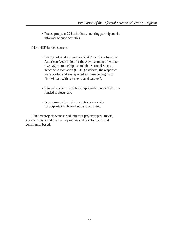• Focus groups at 22 institutions, covering participants in informal science activities.

Non-NSF-funded sources:

- Surveys of random samples of 262 members from the American Association for the Advancement of Science (AAAS) membership list and the National Science Teachers Association (NSTA) database; the responses were pooled and are reported as those belonging to "individuals with science-related careers";
- Site visits to six institutions representing non-NSF ISEfunded projects; and
- Focus groups from six institutions, covering participants in informal science activities.

Funded projects were sorted into four project types: media, science centers and museums, professional development, and community based.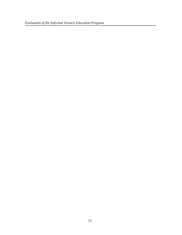*Evaluation of the Informal Science Education Program*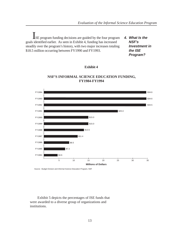$\prod_{S \to \infty}$  program funding decisions are guided by the four program goals identified earlier. As seen in Exhibit 4, funding has increased steadily over the program's history, with two major increases totaling \$18.5 million occurring between FY1990 and FY1993.

**4. What Is the NSF's Investment in the ISE Program?**

#### **Exhibit 4**



**NSF'S INFORMAL SCIENCE EDUCATION FUNDING, FY1984-FY1994**

Source: Budget Division and Informal Science Education Program, NSF

Exhibit 5 depicts the percentages of ISE funds that were awarded to a diverse group of organizations and institutions.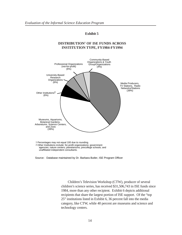#### **Exhibit 5**

#### **DISTRIBUTION1 OF ISE FUNDS ACROSS INSTITUTION TYPE, FY1984-FY1994**



agencies; nature centers; planetariums; precollege schools; and unaffiliated independent consultants.



Children's Television Workshop (CTW), producer of several children's science series, has received \$31,506,743 in ISE funds since 1984, more than any other recipient. Exhibit 6 depicts additional recipients that share the largest portion of ISE support. Of the "top 25" institutions listed in Exhibit 6, 36 percent fall into the media category, like CTW, while 40 percent are museums and science and technology centers.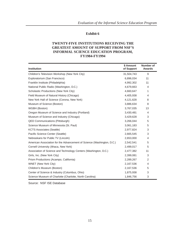#### **Exhibit 6**

# **TWENTY-FIVE INSTITUTIONS RECEIVING THE GREATEST AMOUNT OF SUPPORT FROM NSF'S INFORMAL SCIENCE EDUCATION PROGRAM, FY1984-FY1994**

| <b>Institution</b>                                                     | \$ Amount<br>of Support | <b>Number of</b><br><b>Awards</b> |
|------------------------------------------------------------------------|-------------------------|-----------------------------------|
| Children's Television Workshop (New York City)                         | 31,504,743              | 9                                 |
| Exploratorium (San Francisco)                                          | 6,896,034               | 11                                |
| Franklin Institute (Philadelphia)                                      | 4,992,302               | 11                                |
| National Public Radio (Washington, D.C.)                               | 4,679,663               | $\overline{4}$                    |
| Scholastic Productions (New York City)                                 | 4,660,647               | 1                                 |
| Field Museum of Natural History (Chicago)                              | 4,405,938               | 4                                 |
| New York Hall of Science (Corona, New York)                            | 4,121,628               | 8                                 |
| Museum of Science (Boston)                                             | 3,886,634               | 8                                 |
| WGBH (Boston)                                                          | 3,767,035               | 13                                |
| Oregon Museum of Science and Industry (Portland)                       | 3,430,481               | 4                                 |
| Museum of Science and Industry (Chicago)                               | 3,429,628               | 3                                 |
| <b>QED Communications (Pittsburgh)</b>                                 | 3,266,044               | 5                                 |
| Science Museum of Minnesota (St. Paul)                                 | 3,061,183               | 5                                 |
| <b>KCTS Associates (Seattle)</b>                                       | 2,977,824               | 3                                 |
| Pacific Science Center (Seattle)                                       | 2,665,545               | 3                                 |
| Nebraskans for Public TV (Lincoln)                                     | 2,653,000               | 4                                 |
| American Association for the Advancement of Science (Washington, D.C.) | 2,542,541               | 5                                 |
| Cornell University (Ithaca, New York)                                  | 2,499,017               | 5                                 |
| Association of Science and Technology Centers (Washington, D.C.)       | 2,477,382               | 11                                |
| Girls, Inc. (New York City)                                            | 2,399,081               | 3                                 |
| Prism Productions (Acampo, California)                                 | 2,289,267               | 2                                 |
| <b>WNET</b> (New York City)                                            | 2,167,536               | 4                                 |
| Children's Museum (Boston)                                             | 2,167,536               | 5                                 |
| Center of Science & Industry (Columbus, Ohio)                          | 1,875,938               | 3                                 |
| Science Museum of Charlotte (Charlotte, North Carolina)                | 1,846,756               | 3                                 |

Source: NSF ISE Database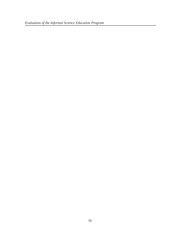*Evaluation of the Informal Science Education Program*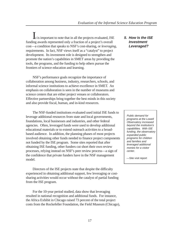$\mathbf{l}_t$  is important to note that in all the projects evaluated, ISE funding awards represented only a fraction of a project's overall cost—a condition that speaks to NSF's cost-sharing, or *leveraging*, requirements. In fact, NSF views itself as a "catalyst" to project development. Its investment role is designed to strengthen and promote the nation's capabilities in SMET areas by providing the tools, the programs, and the funding to help others pursue the frontiers of science education and learning.

NSF's performance goals recognize the importance of collaboration among business, industry, researchers, schools, and informal science institutions to achieve excellence in SMET. An emphasis on collaboration is seen in the number of museums and science centers that are either project venues or collaborators. Effective partnerships bring together the best minds in this society and also provide fiscal, human, and in-kind resources.

The NSF-funded institutions evaluated used initial ISE funds to leverage additional resources from state and local governments, foundations, local businesses and industries, and other federal agencies. Often, leveraged funds were used to develop additional educational materials or to extend outreach activities to a broadbased audience. In addition, the planning phases of most projects involved obtaining other funds needed to finance project components not funded by the ISE program. Some sites reported that after obtaining ISE funding, other funders cut short their own review processes, relying instead on NSF's peer review process—a sign of the confidence that private funders have in the NSF management model.

Directors of the ISE projects state that despite the difficulty experienced in obtaining additional support, few leveraging or costsharing activities would occur without the catalyst of partial funding from the ISE program.

For the 10-year period studied, data show that leveraging resulted in national recognition and additional funds. For instance, the Africa Exhibit in Chicago raised 73 percent of the total project costs from the Rockefeller Foundation, the Field Museum (Chicago),

#### **5. How Is the ISE Investment Leveraged?**

Public demand for programs at the Lowell Observatory increased beyond the institution's capabilities. With ISE funding, the observatory expanded public programs for children and families and leveraged additional monies for a visitor center.

—Site visit report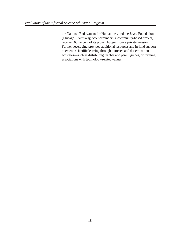the National Endowment for Humanities, and the Joyce Foundation (Chicago). Similarly, Scienceminders, a community-based project, received 63 percent of its project budget from a private investor. Further, leveraging provided additional resources and in-kind support to extend scientific learning through outreach and dissemination activities—such as distributing teacher and parent guides, or forming associations with technology-related venues.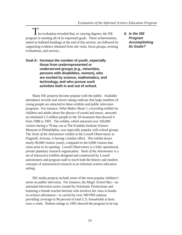$\blacksquare$  he evaluation revealed that, to varying degrees, the ISE program is meeting all of its expressed goals. These achievements, stated as bulleted headings at the end of this section, are followed by supporting evidence obtained from site visits, focus groups, existing evaluations, and surveys.

**Goal A: Increase the number of youth, especially those from underrepresented or underserved groups (e.g., minorities, persons with disabilities, women), who are excited by science, mathematics, and technology, and who pursue such activities both in and out of school.**

Many ISE projects become popular with the public. Available attendance records and viewer ratings indicate that large numbers of young people are attracted to these exhibits and public television programs. For instance, *What Makes Music?*, a traveling exhibit for children and adults about the physics of sound and music, attracted an estimated 2.2 million people to the 18 museums that showed it from 1988 to 1995. The exhibit, which attracted over 160,000 visitors during a 78-day run at The Franklin Institute Science Museum in Philadelphia, was especially popular with school groups. The *Tools of the Astronomer* exhibit at the Lowell Observatory in Flagstaff, Arizona, is having a similar effect. The exhibit draws nearly 80,000 visitors yearly, compared to the 6,000 visitors that came prior to its opening. Lowell Observatory is a fully operational, private planetary research organization. *Tools of the Astronomer* is a set of interactive exhibits designed and constructed by Lowell astronomers and program staff to teach both the history and modern concepts of astronomical research in an informal science education setting.

ISE media projects include some of the most popular children's series on public television. For instance, the *Magic School Bus*—an animated television series created by Scholastic Productions and featuring a female teacher-heroine who involves her class in handson science adventures—is carried by over 300 PBS stations providing coverage to 96 percent of total U.S. households at least once a week. Nielsen ratings in 1995 showed the program to be top

**6. Is the ISE Program Accomplishing Its Goals?**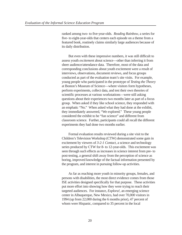ranked among two- to five-year-olds. *Reading Rainbow*, a series for five- to eight-year-olds that centers each episode on a theme from a featured book, routinely claims similarly large audiences because of its daily distribution.

But even with these impressive numbers, it was still difficult to assess youth *excitement* about science—other than inferring it from sheer audience/attendance data. Therefore, most of the data and corresponding conclusions about youth excitement were a result of interviews, observations, document reviews, and focus groups conducted as part of the evaluation team's site visits. For example, young people who participated in the prototype of *Testing the Theory* at Boston's Museum of Science—where visitors form hypotheses, perform experiments, collect data, and test their own theories of scientific processes at various workstations—were still asking questions about their experiences two months later as part of a focus group. When asked if they like school science, they responded with an emphatic "No." When asked what they had done at the exhibit, they immediately answered, "We explored." These young people considered the exhibit to be "fun science" and different from classroom science. Further, participants could all recall the different experiments they had done two months earlier.

Formal evaluation results reviewed during a site visit to the Children's Television Workshop (CTW) demonstrated some gain in excitement by viewers of *3-2-1 Contact*, a science and technology series produced by CTW for 8- to 12-year-olds. This excitement was seen through such effects as increases in science interest from pre- to post-testing, a general shift away from the perception of science as boring, improved knowledge of the factual information presented by the program, and interest in pursuing follow-up activities.

As far as reaching more youth in minority groups, females, and persons with disabilities, the most direct evidence comes from those ISE activities designed specifically for that purpose. These activities put more effort into showing how they were trying to reach their targeted audiences. For instance, *Explora!*, an emerging science center in Albuquerque, New Mexico, had over 70,000 visitors in 1994 (up from 22,000 during the 6 months prior), 47 percent of whom were Hispanic, compared to 35 percent in the local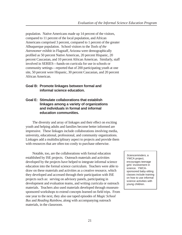population. Native Americans made up 14 percent of the visitors, compared to 11 percent of the local population, and African Americans comprised 3 percent, compared to 1 percent of the greater Albuquerque population. School visitors to the *Tools of the Astronomer* exhibit in Flagstaff, Arizona were demographically profiled as 50 percent Native American, 20 percent Hispanic, 20 percent Caucasian, and 10 percent African American. Similarly, staff involved in SERIES—hands-on curricula for use in schools or community settings—reported that of 200 participating youth at one site, 50 percent were Hispanic, 30 percent Caucasian, and 20 percent African American.

# **Goal B: Promote linkages between formal and informal science education.**

# **Goal E: Stimulate collaborations that establish linkages among a variety of organizations and individuals in formal and informal education communities.**

The diversity and array of linkages and their effect on exciting youth and helping adults and families become better informed are impressive. These linkages include collaborations involving media, university, educational, professional, and community organizations. Linkages add a multidisciplinary aspect to projects and provide them with resources that are often too costly to purchase otherwise.

Notable, too, are the collaborations with formal education established by ISE projects. Outreach materials and activities developed by the projects have helped to integrate informal science education into the formal science curriculum. Teachers were able to draw on these materials and activities as a creative resource, which they developed and accessed through their participation with ISE projects such as: serving on advisory panels, participating in development and evaluation teams, and writing curricula or outreach materials. Teachers also used materials developed through museumsponsored workshops to extend concepts learned on field trips. From one year to the next, they also use taped episodes of *Magic School Bus* and *Reading Rainbow,* along with accompanying outreach materials, in the classroom.

Scienceminders, a YWCA project, encourages teenage girls' involvement in science. YWCAsponsored baby-sitting classes include training on how to use informal science activities with young children.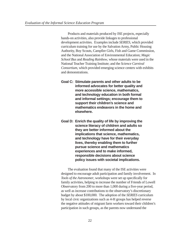Products and materials produced by ISE projects, especially hands-on activities, also provide linkages to professional development activities. Examples include *SERIES*, which provided curriculum training for use by the Salvation Army, Public Housing Authority, Boy Scouts, Campfire Girls, Fish and Game Commission, and the National Association of Environmental Education; *Magic School Bus* and *Reading Rainbow*, whose materials were used in the National Teacher Training Institute; and the *Science Carnival Consortium*, which provided emerging science centers with exhibits and demonstrations.

- **Goal C: Stimulate parents and other adults to be informed advocates for better quality and more accessible science, mathematics, and technology education in both formal and informal settings; encourage them to support their children's science and mathematics endeavors in the home and elsewhere.**
- **Goal D: Enrich the quality of life by improving the science literacy of children and adults so they are better informed about the implications that science, mathematics, and technology have for their everyday lives, thereby enabling them to further pursue science and mathematics experiences and to make informed, responsible decisions about science policy issues with societal implications.**

The evaluation found that many of the ISE activities were designed to encourage adult participation and family involvement. In *Tools of the Astronomer*, workshops were set up specifically for family activities, helping to increase the number of Friends of Lowell Observatory from 200 to more than 1,000 during a five-year period, as well as increase contributions to the observatory's discretionary budget by about \$100,000. The adoption of the *SERIES* curriculum by local civic organizations such as 4-H groups has helped reverse the negative attitudes of migrant farm workers toward their children's participation in such groups, as the parents now understand the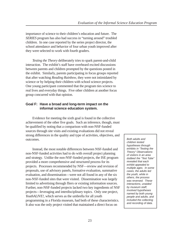importance of science to their children's education and future. The *SERIES* program has also had success in "turning around" troubled children. In one case reported by the series project director, the school attendance and behavior of four urban youth improved after they were selected to work with fourth graders.

*Testing the Theory* deliberately tries to spark parent-and-child interaction. The exhibit's staff have overheard excited discussions between parents and children prompted by the questions posted in the exhibit. Similarly, parents participating in focus groups reported that after watching *Reading Rainbow*, they were not intimidated by science or by helping their children with school science projects. One young participant commented that the program ties science to real lives and everyday things. Five other children at another focus group concurred with that opinion.

#### **Goal F: Have a broad and long-term impact on the informal science education system.**

Evidence for meeting the sixth goal is found in the collective achievement of the other five goals. Such an inference, though, must be qualified by noting that a comparison with non-NSF-funded sources through site visits and existing evaluations did not reveal strong differences in the quality and type of activities, objectives, and outcomes.

Instead, the most notable differences between NSF-funded and non-NSF-funded activities had to do with overall project planning and strategy. Unlike the non-NSF-funded projects, the ISE program provided a more comprehensive and structured process for its projects. Processes recommended by NSF—review and revision of proposals, use of advisory panels, formative evaluation, summative evaluation, and dissemination—were not all found in any of the six non-NSF-funded sites that were visited. Dissemination was largely limited to advertising through fliers or existing information sources. Further, non-NSF-funded projects lacked two key ingredients of NSF projects—leveraging and interdisciplinary topics. Only one project, *YouthALIVE!*, which serves as the umbrella for all youth programming in a Florida museum, had both of these characteristics. It also was the only project visited that maintained a direct focus on

Both adults and children tested hypotheses through exhibits in "Testing the Theory" Observations of visitors in an area dubbed the "Test Tube" revealed that each exhibit appealed to multiple ages. In some cases, the adults led the youth, while in others, the process was reversed. These interactions, unaided by museum staff, involved hypotheses named by both young people and adults, and included the collecting and recording of data.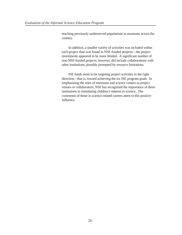reaching previously underserved populations in museums across the country.

In addition, a smaller variety of activities was included within each project than was found in NSF-funded projects—the project investments appeared to be more limited. A significant number of non-NSF-funded projects, however, did include collaborations with other institutions, possibly prompted by resource limitations.

ISE funds seem to be targeting project activities in the right direction—that is, toward achieving the six ISE program goals. In emphasizing the roles of museums and science centers as project venues or collaborators, NSF has recognized the importance of these institutions in stimulating children's interest in science. The comments of those in science-related careers attest to this positive influence.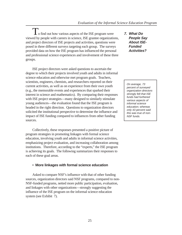**L** o find out how various aspects of the ISE program were viewed by people with careers in science, ISE grantee organizations, and project directors of ISE projects and activities, questions were posed in three different surveys targeting each group. The surveys provided data on how the ISE program has influenced the personal and professional science experiences and involvement of these three groups.

ISE project directors were asked questions to ascertain the degree to which their projects involved youth and adults in informal science education and otherwise met program goals. Teachers, scientists, engineers, chemists, and researchers reported on their current activities, as well as on experience from their own youth (e.g., the memorable events and experiences that sparked their interest in science and mathematics). By comparing their responses with ISE project strategies—many designed to similarly stimulate young audiences—the evaluation found that the ISE program is headed in the right direction. Questions to organization directors solicited the institutional perspective to determine the influence and impact of ISE funding compared to influences from other funding sources.

Collectively, these responses presented a positive picture of program strategies in promoting linkages with formal science education, involving youth and adults in informal science activities, emphasizing project evaluation, and increasing collaboration among institutions. Therefore, according to the "experts," the ISE program is achieving its goals. The following summarizes their responses to each of these goal areas.

#### • **More linkages with formal science education**

Asked to compare NSF's influence with that of other funding sources, organization directors said NSF programs, compared to non-NSF-funded programs, netted more public participation, evaluation, and linkages with other organizations—strongly suggesting the influence of the ISE program on the informal science education system (see Exhibit 7).

**7. What Do People Say About ISE-Funded Activities?**

> On average, 73 percent of surveyed organization directors strongly felt that ISE funds had furthered various aspects of informal science education; whereas only 43 percent said this was true of non-NSF funds.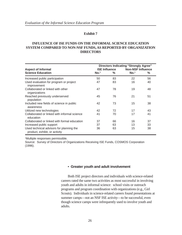#### **Exhibit 7**

# **INFLUENCE OF ISE FUNDS ON THE INFORMAL SCIENCE EDUCATION SYSTEM COMPARED TO NON-NSF FUNDS, AS REPORTED BY ORGANIZATION DIRECTORS**

|                                                                           |                  |                      | <b>Directors Indicating "Strongly Agree"</b> |                          |  |
|---------------------------------------------------------------------------|------------------|----------------------|----------------------------------------------|--------------------------|--|
| <b>Aspect of Informal</b>                                                 |                  | <b>ISE Influence</b> |                                              | <b>Non-NSF Influence</b> |  |
| <b>Science Education</b>                                                  | No. <sup>1</sup> | ℅                    | No. <sup>1</sup>                             | %                        |  |
| Increased public participation                                            | 50               | 83                   | 22                                           | 56                       |  |
| Used evaluation for program or project<br>improvement                     | 47               | 83                   | 16                                           | 40                       |  |
| Collaborated or linked with other<br>organizations                        | 47               | 78                   | 19                                           | 48                       |  |
| Reached previously underserved<br>population                              | 45               | 76                   | 21                                           | 51                       |  |
| Included new fields of science in public<br>awareness                     | 42               | 73                   | 15                                           | 38                       |  |
| Utilized new technologies                                                 | 42               | 72                   | 17                                           | 43                       |  |
| Collaborated or linked with informal science<br>education                 | 41               | 70                   | 17                                           | 41                       |  |
| Collaborated or linked with formal education                              | 37               | 66                   | 16                                           | 37                       |  |
| Increased public support                                                  | 37               | 63                   | 13                                           | 33                       |  |
| Used technical advisors for planning the<br>product, exhibit, or activity | 36               | 63                   | 15                                           | 38                       |  |

1 Multiple responses permissible.

Source: Survey of Directors of Organizations Receiving ISE Funds, COSMOS Corporation (1996).

#### • **Greater youth and adult involvement**

Both ISE project directors and individuals with science-related careers rated the same two activities as most successful in involving youth and adults in informal science: school visits or outreach programs and program coordination with organizations (e.g., Girl Scouts). Individuals in science-related careers found presentations at summer camps—not an NSF ISE activity—to be successful, even though science camps were infrequently used to involve youth and adults.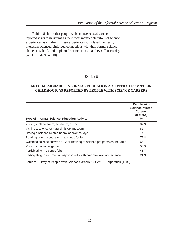Exhibit 8 shows that people with science-related careers reported visits to museums as their most memorable informal science experiences as children. These experiences stimulated their early interest in science, reinforced connections with their formal science classes in school, and implanted science ideas that they still use today (see Exhibits 9 and 10).

#### **Exhibit 8**

#### **MOST MEMORABLE INFORMAL EDUCATION ACTIVITIES FROM THEIR CHILDHOOD, AS REPORTED BY PEOPLE WITH SCIENCE CAREERS**

| <b>Type of Informal Science Education Activity</b>                         | <b>People with</b><br>Science-related<br><b>Careers</b><br>$(n = 254)$<br>℅ |
|----------------------------------------------------------------------------|-----------------------------------------------------------------------------|
| Visiting a planetarium, aquarium, or zoo                                   | 92.9                                                                        |
| Visiting a science or natural history museum                               | 85                                                                          |
| Having a science-related hobby or science toys                             | 74                                                                          |
| Reading science books or magazines for fun                                 | 72.8                                                                        |
| Watching science shows on TV or listening to science programs on the radio | 65                                                                          |
| Visiting a botanical garden                                                | 58.3                                                                        |
| Participating in science fairs                                             | 41.7                                                                        |
| Participating in a community-sponsored youth program involving science     | 21.3                                                                        |

Source: Survey of People With Science Careers, COSMOS Corporation (1996).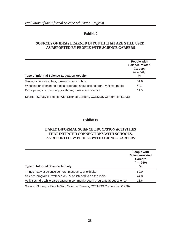# **Exhibit 9**

# **SOURCES OF IDEAS LEARNED IN YOUTH THAT ARE STILL USED, AS REPORTED BY PEOPLE WITH SCIENCE CAREERS**

| <b>Type of Informal Science Education Activity</b>                          | People with<br>Science-related<br><b>Careers</b><br>$(n = 244)$<br>$\%$ |
|-----------------------------------------------------------------------------|-------------------------------------------------------------------------|
| Visiting science centers, museums, or exhibits                              | 51.6                                                                    |
| Watching or listening to media programs about science (on TV, films, radio) | 44.7                                                                    |
| Participating in community youth programs about science                     | 11.5                                                                    |

Source: Survey of People With Science Careers, COSMOS Corporation (1996).

# **Exhibit 10**

# **EARLY INFORMAL SCIENCE EDUCATION ACTIVITIES THAT INITIATED CONNECTIONS WITH SCHOOLS, AS REPORTED BY PEOPLE WITH SCIENCE CAREERS**

| <b>Type of Informal Science Activity</b>                                       | People with<br>Science-related<br><b>Careers</b><br>$(n = 250)$<br>$\%$ |
|--------------------------------------------------------------------------------|-------------------------------------------------------------------------|
| Things I saw at science centers, museums, or exhibits                          | 50.0                                                                    |
| Science programs I watched on TV or listened to on the radio                   | 44.8                                                                    |
| Activities I did while participating in community youth programs about science | 13.6                                                                    |

Source: Survey of People With Science Careers, COSMOS Corporation (1996).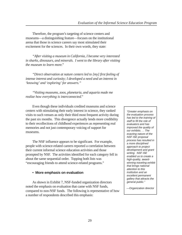Therefore, the program's targeting of science centers and museums—a distinguishing feature—focuses on the institutional arena that those in science careers say most stimulated their excitement for the sciences. In their own words, they state:

*"After visiting a museum in California, I became very interested in sharks, dinosaurs, and minerals. I went to the library after visiting the museum to learn more."*

*"Direct observation at nature centers led to [my] first feeling of intense interest and curiosity; I developed a need and an interest in 'knowing' and 'exploring' for answers."*

*"Visiting museums, zoos, planetaria, and aquaria made me realize how everything is interconnected."*

Even though these individuals credited museums and science centers with stimulating their early interest in science, they ranked visits to such venues as only their third most frequent activity during the past six months. This divergence actually lends more credibility to their recollections of childhood experiences as representing real memories and not just contemporary voicing of support for museums.

The NSF influence appears to be significant. For example, people with science-related careers reported a correlation between their current informal science education activities and those prompted by NSF. The activities identified for each category fell in about the same sequential order. Topping both lists was "encouraging friends to attend science-related programs."

#### • **More emphasis on evaluation**

As shown in Exhibit 7, NSF-funded organization directors noted the emphasis on evaluation that came with NSF funds, compared to non-NSF funds. The following is representative of how a number of respondents described this emphasis:

"Greater emphasis on the evaluation process has led to the training of staff to fill the role of evaluators and has improved the quality of our exhibits. . . The exacting nature of the NSF ISE proposal process has resulted in a more disciplined approach to project development and grant writing. NSF ISE enabled us to create a high-quality, awardwinning traveling exhibit that brings national attention to this institution and an excellent permanent gallery that attracts the general public."

—Organization director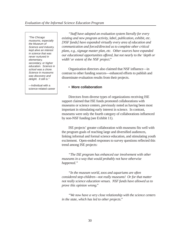"The Chicago museums, especially the Museum of Science and Industry, kept alive an interest in science that was never nurtured in elementary, secondary, or higher education. Science in school was a chore. Science in museums was discovery and delight. It still is."

—Individual with a science-related career

*"Staff have adopted an evaluation system literally for every existing and new program activity, label, publication, exhibit, etc. [NSF funds] have expanded virtually every area of education and communication and forced/directed us to complete other critical plans, e.g., signage master plan, etc. Other sources have expanded our educational opportunities offered, but not nearly to the 'depth or width' or extent of the NSF project."*

Organization directors also claimed that NSF influence—in contrast to other funding sources—enhanced efforts to publish and disseminate evaluation results from their projects.

#### • **More collaboration**

Directors from diverse types of organizations receiving ISE support claimed that ISE funds promoted collaborations with museums or science centers, previously noted as having been most important in stimulating early interest in science. In contrast, museums were only the fourth category of collaborations influenced by non-NSF funding (see Exhibit 11).

ISE projects' greater collaboration with museums fits well with the program goals of reaching large and diversified audiences, linking informal and formal science education, and stimulating youth excitement. Open-ended responses to survey questions reflected this trend among ISE projects:

*"The ISE program has enhanced our involvement with other museums in a way that would probably not have otherwise happened."*

*"In the museum world, zoos and aquariums are often considered step-children—not really museums! Or for that matter not really science education venues. NSF funds have allowed us to prove this opinion wrong."*

*"We now have a very close relationship with the science centers in the state, which has led to other projects."*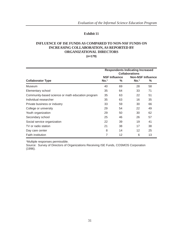#### **Exhibit 11**

# **INFLUENCE OF ISE FUNDS AS COMPARED TO NON-NSF FUNDS ON INCREASING COLLABORATION, AS REPORTED BY ORGANIZATIONAL DIRECTORS**

**(n=179)**

|                                                   | <b>Respondents Indicating Increased</b><br><b>Collaborations</b> |                           |                                              |      |
|---------------------------------------------------|------------------------------------------------------------------|---------------------------|----------------------------------------------|------|
| <b>Collaborator Type</b>                          | No. <sup>1</sup>                                                 | <b>NSF Influence</b><br>℅ | <b>Non-NSF Influence</b><br>No. <sup>1</sup> | $\%$ |
| Museum                                            | 40                                                               | 69                        | 28                                           | 58   |
| Elementary school                                 | 35                                                               | 64                        | 33                                           | 71   |
| Community-based science or math education program | 35                                                               | 63                        | 22                                           | 51   |
| Individual researcher                             | 35                                                               | 63                        | 16                                           | 35   |
| Private business or industry                      | 33                                                               | 59                        | 30                                           | 66   |
| College or university                             | 29                                                               | 54                        | 22                                           | 49   |
| Youth organization                                | 29                                                               | 50                        | 30                                           | 62   |
| Secondary school                                  | 25                                                               | 46                        | 26                                           | 57   |
| Social service organization                       | 22                                                               | 39                        | 19                                           | 41   |
| TV or radio station                               | 21                                                               | 38                        | 17                                           | 38   |
| Day care center                                   | 8                                                                | 14                        | 12                                           | 25   |
| <b>Faith institution</b>                          | 7                                                                | 12                        | 6                                            | 13   |

1 Multiple responses permissible.

Source: Survey of Directors of Organizations Receiving ISE Funds, COSMOS Corporation (1996).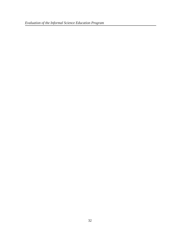*Evaluation of the Informal Science Education Program*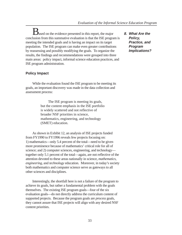$B<sub>ased</sub>$  on the evidence presented in this report, the major conclusion from this summative evaluation is that the ISE program is meeting the intended goals and is having an impact on its target population. The ISE program can make even greater contributions by reassessing and possibly modifying the goals. To organize the results, the findings and recommendations were grouped into three main areas: policy impact, informal science education practices, and ISE program administration.

#### **Policy Impact**

While the evaluation found the ISE program to be meeting its goals, an important discovery was made in the data collection and assessment process:

> The ISE program is meeting its goals, but the content emphasis in the ISE portfolio is widely scattered and not reflective of broader NSF priorities in science, mathematics, engineering, and technology (SMET) education.

As shown in Exhibit 12, an analysis of ISE projects funded from FY1990 to FY1996 reveals few projects focusing on: 1) mathematics—only 5.4 percent of the total—need to be given more prominence because of mathematics' critical role for all of science; and 2) computer sciences, engineering, and technology together only 5.1 percent of the total—again, are not reflective of the attention devoted to these areas nationally in science, *mathematics, engineering,* and *technology* education. Moreover, in today's society both mathematics and computer science serve as gateways to all other sciences and disciplines.

Interestingly, the shortfall here is not a failure of the program to achieve its goals, but rather a fundamental problem with the goals themselves. The existing ISE program goals—four of the six evaluation goals—do not directly address the curriculum content of supported projects. Because the program goals are *process* goals, they cannot assure that ISE projects will align with any desired NSF content priorities.

**8. What Are the Policy, Practice, and Program Implications?**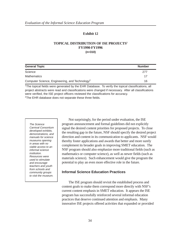#### **Exhibit 12**

#### **TOPICAL DISTRIBUTION OF ISE PROJECTS1 FY1990-FY1996 (n=310)**

| <b>General Topic</b>                                       | <b>Number</b> |
|------------------------------------------------------------|---------------|
| Science                                                    | 277           |
| <b>Mathematics</b>                                         | 17            |
| Computer Science, Engineering, and Technology <sup>2</sup> | 16            |

 $1$ The topical fields were generated by the EHR Database. To verify the topical classifications, all project abstracts were read and classifications were changed if necessary. After all classifications were verified, the ISE project officers reviewed the classifications for accuracy.

<sup>2</sup>The EHR database does not separate these three fields.

The Science Carnival Consortium developed exhibits, demonstrations, and manuals for science museums opening in areas with no viable access to an informal science institution. Resources were used to stimulate and encourage teachers and youth from schools and community groups to visit the museum.

Not surprisingly, for the period under evaluation, the ISE program announcement and formal guidelines did not explicitly signal the desired content priorities for proposed projects. To close the resulting gap in the future, NSF should specify the desired project direction and content in its communication to applicants. NSF would thereby foster applications and awards that better and more surely complement its broader goals in improving SMET education. The NSF program should also emphasize more traditional fields (such as mathematics or computer science), as well as newer fields (such as materials science). Such enhancement would give the program the potential to play an even more effective role in the future.

#### **Informal Science Education Practices**

The ISE program should revisit the established process and content goals to make them correspond more directly with NSF's current content emphasis in SMET education. It appears the ISE program has successfully reinforced several informal education practices that deserve continued attention and emphasis. Many innovative ISE projects offered activities that expanded or provided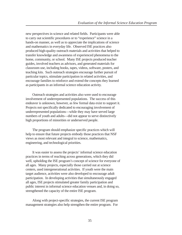new perspectives in science and related fields. Participants were able to carry out scientific procedures or to "experience" science in a hands-on manner, as well as to appreciate the implications of science and mathematics in everyday life. Observed ISE practices also produced high-quality outreach materials and activities that helped to transfer knowledge and awareness of experienced phenomena to the home, community, or school. Many ISE projects produced teacher guides, involved teachers as advisors, and generated materials for classroom use, including books, tapes, videos, software, posters, and teaching kits. Such outreach strategies encourage further pursuit of particular topics, stimulate participation in related activities, and encourage families to reinforce and extend the concepts they learned as participants in an informal science education activity.

Outreach strategies and activities also were used to encourage involvement of underrepresented populations. The success of this endeavor is unknown, however, as few formal data exist to support it. Projects not specifically dedicated to encouraging involvement of underrepresented populations—while they may have served large numbers of youth and adults—did not appear to serve distinctively high proportions of minorities or underserved people.

The program should emphasize specific practices which will help to ensure that future projects embody those practices that NSF views as most relevant and integral to science, mathematics, engineering, and technological priorities.

It was easier to assess the projects' informal science education practices in terms of reaching across generations, which they did well, upholding the ISE program's concept of science for everyone of all ages. Many projects, especially those carried out at science centers, used intergenerational activities. If youth were the main target audience, activities were also developed to encourage adult participation. In developing activities that simultaneously engaged all ages, ISE projects stimulated greater family participation and public interest in informal science education venues and, in doing so, strengthened the capacity of the entire ISE program.

Along with project-specific strategies, the current ISE program management strategies also help strengthen the entire program. For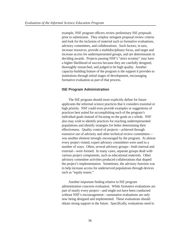example, NSF program officers review preliminary ISE proposals prior to submission. They employ stringent proposal review criteria and look for the inclusion of material such as formative evaluations, advisory committees, and collaborations. Such factors, in turn, increase resources, provide a multidisciplinary focus, and target and increase access for underrepresented groups, and are determinants in deciding awards. Projects passing NSF's "strict scrutiny" may have a higher likelihood of success because they are carefully designed, thoroughly researched, and judged to be high quality. Another capacity-building feature of the program is the support it provides to institutions through initial stages of development, encouraging formative evaluation as part of that process.

#### **ISE Program Administration**

The ISE program should more explicitly define for future applicants the informal science practices that it considers essential or high priority. NSF could even provide examples or suggestions of practices best suited for accomplishing each of the program's individual goals instead of focusing on the goals as a whole. NSF also may wish to identify practices for reaching underrepresented populations and identify strategies for better determining their effectiveness. Quality control of projects—achieved through extensive use of advisory and other technical review committees was another element strongly encouraged by the program. At almost every project visited, expert advisory committees were used in a number of ways. Often, several advisory groups—both internal and external—were formed. In many cases, separate groups dealt with various project components, such as educational materials. Other advisory committee activities produced collaborations that shaped the project's implementation. Sometimes, the advisory function was to help increase access for underserved populations through devices such as "equity teams."

Another important finding relative to ISE program administration concerns evaluation. While formative evaluations are part of nearly every project—and might not have been conducted without NSF's encouragement—summative evaluations are only now being designed and implemented. These evaluations should obtain strong support in the future. Specifically, evaluations need to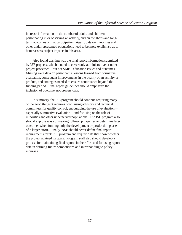increase information on the number of adults and children participating in or observing an activity, and on the short- and longterm outcomes of that participation. Again, data on minorities and other underrepresented populations need to be more explicit so as to better assess project impacts in this area.

Also found wanting was the final report information submitted by ISE projects, which tended to cover only administrative or other project processes—but not SMET education issues and outcomes. Missing were data on participants, lessons learned from formative evaluation, consequent improvements in the quality of an activity or product, and strategies needed to ensure continuance beyond the funding period. Final report guidelines should emphasize the inclusion of outcome, not process data.

In summary, the ISE program should continue requiring many of the good things it requires now: using advisory and technical committees for quality control, encouraging the use of evaluation especially summative evaluation—and focusing on the role of minorities and other underserved populations. The ISE program also should explore ways of making follow-up inquiries to determine later outcomes when funding only the development or production phase of a larger effort. Finally, NSF should better define final report requirements for its ISE program and require data that show whether the project attained its goals. Program staff also should develop a process for maintaining final reports in their files and for using report data in defining future competitions and in responding to policy inquiries.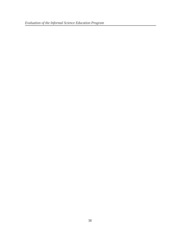*Evaluation of the Informal Science Education Program*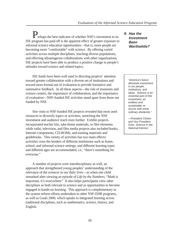**P**erhaps the best indicator of whether NSF's investment in its ISE program has paid off is the apparent effect of greater exposure to informal science education opportunities—that is, more people are becoming more "comfortable" with science. By offering varied activities across multiple disciplines, reaching diverse populations, and effecting advantageous collaborations with other organizations, ISE projects have been able to produce a positive change in people's attitudes toward science and related topics.

ISE funds have been well used in directing projects' attention toward greater collaboration with a diverse set of institutions and toward more formal use of evaluation to provide formative and summative feedback. In all these aspects—the role of museums and science centers, the importance of collaboration, and the importance of evaluation—NSF-funded ISE activities stand apart from those not funded by NSF.

Site visits to NSF-funded ISE projects revealed that most used resources to diversify topics or activities, stretching the NSF investment and audience reach even further. Exhibit projects incorporated teacher kits, take-home materials, or film elements; while radio, television, and film media projects also included books, Internet components, CD-ROMs, and training materials and guidebooks. This variety of activities has two main effects: activities cross the borders of different institutions such as home, school, and informal science settings; and different learning types and different ages are accommodated, i.e., "there's something for everyone."

A number of projects were interdisciplinary as well, an approach that strengthened young peoples' understanding of the relevance of the sciences in our daily lives—as when one child remarked after viewing an episode of *Life by the Numbers*, "Math is important, it's everywhere." It also helps participants view other disciplines as both relevant to science and as opportunities to become engaged in hands-on learning. This approach is complementary to the system reform efforts undertaken in other NSF-EHR programs, as well as Goals 2000, which speaks to integrated learning across traditional disciplines, such as mathematics, science, history, and English.

#### **9. Has the Investment Been Worthwhile?**

"America's future demands investment in our people, institutions, and ideas. Science is an essential part of this investment, an endless and sustainable resource with extraordinary dividends."

—President Clinton and Vice President Gore, Science in the National Interest.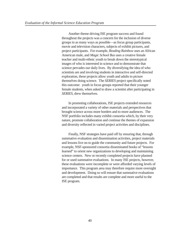Another theme driving ISE program success and found throughout the projects was a concern for the inclusion of diverse groups in as many ways as possible—as focus group participants, movie and television characters, subjects of exhibit pictures, and project participants. For example, *Reading Rainbow* uses an African American male, and *Magic School Bus* uses a creative female teacher and multi-ethnic youth to break down the stereotypical images of who is interested in science and to demonstrate that science pervades our daily lives. By diversifying the idea of who scientists are and involving students in interactive and self-directed exploration, these projects allow youth and adults to picture themselves doing science. The *SERIES* project specifically noted this outcome: youth in focus groups reported that their younger female students, when asked to draw a scientist after participating in *SERIES*, drew themselves.

In promoting collaborations, ISE projects extended resources and incorporated a variety of other materials and perspectives that brought science across more borders and to more audiences. The NSF portfolio includes many exhibit consortia which, by their very nature, promote collaboration and continue the themes of expansion and diversity reflected in varied project activities and disciplines.

Finally, NSF strategies have paid off by ensuring that, through summative evaluation and dissemination activities, project materials and lessons live on to guide the community and future projects. For example, NSF-sponsored consortia disseminated books of "lessons learned" to orient new organizations to developing and maintaining science centers. New or recently completed projects have planned for or used summative evaluations. In many ISE projects, however, these evaluations were incomplete or were afforded varying levels of importance. This program area may therefore require more oversight and development. Doing so will ensure that summative evaluations are completed and that results are complete and more useful to the ISE program.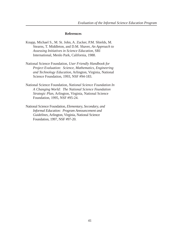#### **References**

- Knapp, Michael S., M. St. John, A. Zucker, P.M. Shields, M. Stearns, T. Middleton, and D.M. Shaver, *An Approach to Assessing Initiatives in Science Education*, SRI International, Menlo Park, California, 1988.
- National Science Foundation, *User Friendly Handbook for Project Evaluation: Science, Mathematics, Engineering and Technology Education*, Arlington, Virginia, National Science Foundation, 1993, NSF #94-183.
- National Science Foundation, *National Science Foundation In A Changing World: The National Science Foundation Strategic Plan*, Arlington, Virginia, National Science Foundation, 1995, NSF #95-24.
- National Science Foundation, *Elementary, Secondary, and Informal Education: Program Announcement and Guidelines*, Arlington, Virginia, National Science Foundation, 1997, NSF #97-20.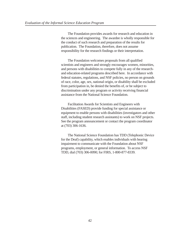The Foundation provides awards for research and education in the sciences and engineering. The awardee is wholly responsible for the conduct of such research and preparation of the results for publication. The Foundation, therefore, does not assume responsibility for the research findings or their interpretation.

The Foundation welcomes proposals from all qualified scientists and engineers and strongly encourages women, minorities, and persons with disabilities to compete fully in any of the researchand education-related programs described here. In accordance with federal statutes, regulations, and NSF policies, no person on grounds of race, color, age, sex, national origin, or disability shall be excluded from participation in, be denied the benefits of, or be subject to discrimination under any program or activity receiving financial assistance from the National Science Foundation.

Facilitation Awards for Scientists and Engineers with Disabilities (FASED) provide funding for special assistance or equipment to enable persons with disabilities (investigators and other staff, including student research assistants) to work on NSF projects. See the program announcement or contact the program coordinator at (703) 306-1636.

The National Science Foundation has TDD (Telephonic Device for the Deaf) capability, which enables individuals with hearing impairment to communicate with the Foundation about NSF programs, employment, or general information. To access NSF TDD, dial (703) 306-0090; for FIRS, 1-800-877-8339.